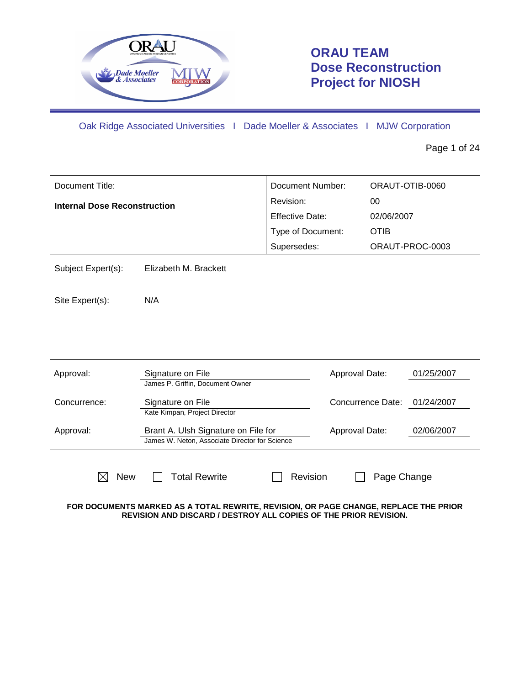

# **ORAU TEAM Dose Reconstruction Project for NIOSH**

Oak Ridge Associated Universities I Dade Moeller & Associates I MJW Corporation

Page 1 of 24

| Document Title:<br><b>Internal Dose Reconstruction</b>             |                                                                                       | Document Number:       | ORAUT-OTIB-0060<br>00 |                 |  |
|--------------------------------------------------------------------|---------------------------------------------------------------------------------------|------------------------|-----------------------|-----------------|--|
|                                                                    |                                                                                       | Revision:              |                       |                 |  |
|                                                                    |                                                                                       | <b>Effective Date:</b> | 02/06/2007            |                 |  |
|                                                                    |                                                                                       | Type of Document:      | <b>OTIB</b>           |                 |  |
|                                                                    |                                                                                       | Supersedes:            |                       | ORAUT-PROC-0003 |  |
| Subject Expert(s):<br>Elizabeth M. Brackett                        |                                                                                       |                        |                       |                 |  |
| N/A<br>Site Expert(s):                                             |                                                                                       |                        |                       |                 |  |
|                                                                    |                                                                                       |                        |                       |                 |  |
| Approval:                                                          | Signature on File<br>James P. Griffin, Document Owner                                 | Approval Date:         |                       | 01/25/2007      |  |
| Signature on File<br>Concurrence:<br>Kate Kimpan, Project Director |                                                                                       |                        | Concurrence Date:     | 01/24/2007      |  |
| Approval:                                                          | Brant A. Ulsh Signature on File for<br>James W. Neton, Associate Director for Science | Approval Date:         |                       | 02/06/2007      |  |
| <b>New</b><br>⋉                                                    | <b>Total Rewrite</b><br>Revision<br>Page Change                                       |                        |                       |                 |  |

**FOR DOCUMENTS MARKED AS A TOTAL REWRITE, REVISION, OR PAGE CHANGE, REPLACE THE PRIOR REVISION AND DISCARD / DESTROY ALL COPIES OF THE PRIOR REVISION.**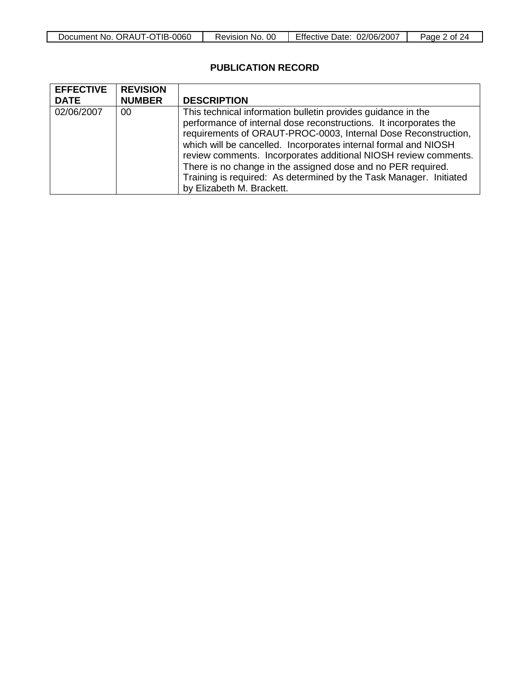| Document No. ORAUT-OTIB-0060 | OO<br>No.<br>Revision | <b>Effective Date:</b><br>02/06/2007 | Page 2<br>` of    ∠ |
|------------------------------|-----------------------|--------------------------------------|---------------------|

## **PUBLICATION RECORD**

| <b>EFFECTIVE</b> | <b>REVISION</b> |                                                                                                                                                                                                                                                                                                                                                                                                                                                                                 |
|------------------|-----------------|---------------------------------------------------------------------------------------------------------------------------------------------------------------------------------------------------------------------------------------------------------------------------------------------------------------------------------------------------------------------------------------------------------------------------------------------------------------------------------|
| <b>DATE</b>      | <b>NUMBER</b>   | <b>DESCRIPTION</b>                                                                                                                                                                                                                                                                                                                                                                                                                                                              |
| 02/06/2007       | 00              | This technical information bulletin provides guidance in the<br>performance of internal dose reconstructions. It incorporates the<br>requirements of ORAUT-PROC-0003, Internal Dose Reconstruction,<br>which will be cancelled. Incorporates internal formal and NIOSH<br>review comments. Incorporates additional NIOSH review comments.<br>There is no change in the assigned dose and no PER required.<br>Training is required: As determined by the Task Manager. Initiated |
|                  |                 | by Elizabeth M. Brackett.                                                                                                                                                                                                                                                                                                                                                                                                                                                       |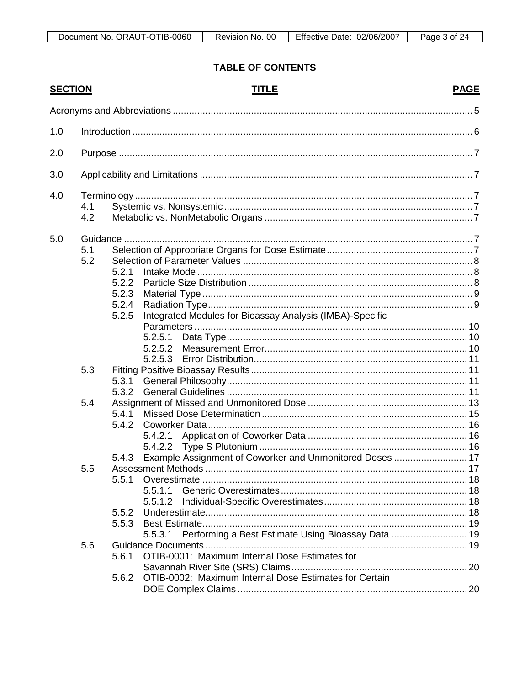## **TABLE OF CONTENTS**

| <b>SECTION</b> |                                                                                                                        | <b>TITLE</b>                                                      | <b>PAGE</b> |  |  |
|----------------|------------------------------------------------------------------------------------------------------------------------|-------------------------------------------------------------------|-------------|--|--|
|                |                                                                                                                        |                                                                   |             |  |  |
| 1.0            | 10.000 minutes and the contract of the contract of the contract of the contract of the contract of the contract of $6$ |                                                                   |             |  |  |
| 2.0            |                                                                                                                        |                                                                   |             |  |  |
| 3.0            |                                                                                                                        |                                                                   |             |  |  |
| 4.0            |                                                                                                                        |                                                                   |             |  |  |
|                | 4.1                                                                                                                    |                                                                   |             |  |  |
|                | 4.2                                                                                                                    |                                                                   |             |  |  |
| 5.0            |                                                                                                                        |                                                                   |             |  |  |
|                | 5.1                                                                                                                    |                                                                   |             |  |  |
|                | 5.2                                                                                                                    |                                                                   |             |  |  |
|                |                                                                                                                        | 5.2.1<br>5.2.2                                                    |             |  |  |
|                |                                                                                                                        | 5.2.3                                                             |             |  |  |
|                |                                                                                                                        | 5.2.4                                                             |             |  |  |
|                |                                                                                                                        | Integrated Modules for Bioassay Analysis (IMBA)-Specific<br>5.2.5 |             |  |  |
|                |                                                                                                                        |                                                                   |             |  |  |
|                |                                                                                                                        |                                                                   |             |  |  |
|                |                                                                                                                        |                                                                   |             |  |  |
|                | 5.3                                                                                                                    |                                                                   |             |  |  |
|                |                                                                                                                        | 5.3.1                                                             |             |  |  |
|                |                                                                                                                        | 5.3.2                                                             |             |  |  |
|                | 5.4                                                                                                                    |                                                                   |             |  |  |
|                |                                                                                                                        | 5.4.1                                                             |             |  |  |
|                |                                                                                                                        | 5.4.2                                                             |             |  |  |
|                |                                                                                                                        |                                                                   |             |  |  |
|                |                                                                                                                        |                                                                   |             |  |  |
|                |                                                                                                                        | Example Assignment of Coworker and Unmonitored Doses  17<br>5.4.3 |             |  |  |
|                | 5.5                                                                                                                    |                                                                   |             |  |  |
|                |                                                                                                                        | 5.5.1                                                             |             |  |  |
|                |                                                                                                                        | 5.5.1.1                                                           |             |  |  |
|                |                                                                                                                        | 5.5.1.2                                                           |             |  |  |
|                |                                                                                                                        | 5.5.2<br>5.5.3                                                    |             |  |  |
|                |                                                                                                                        | Performing a Best Estimate Using Bioassay Data  19<br>5.5.3.1     |             |  |  |
|                | 5.6                                                                                                                    |                                                                   |             |  |  |
|                |                                                                                                                        | OTIB-0001: Maximum Internal Dose Estimates for<br>5.6.1           |             |  |  |
|                |                                                                                                                        |                                                                   |             |  |  |
|                |                                                                                                                        | OTIB-0002: Maximum Internal Dose Estimates for Certain<br>5.6.2   |             |  |  |
|                |                                                                                                                        |                                                                   |             |  |  |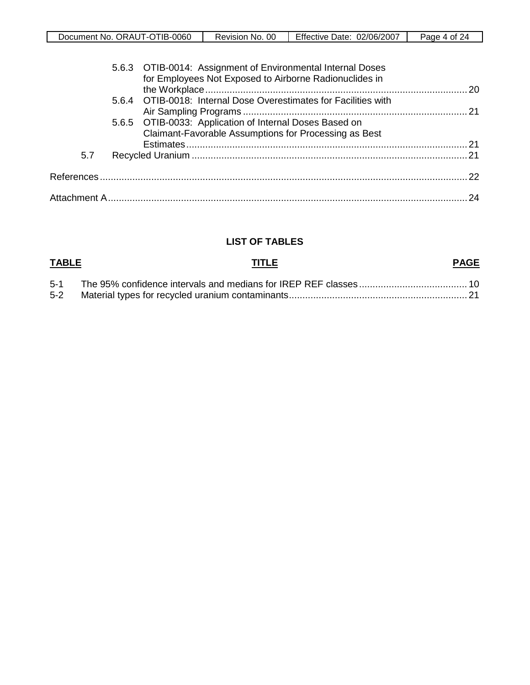| Document No. ORAUT-OTIB-0060 | 00<br>Revision No. | Effective Date:<br>02/06/2007 | Page<br>24<br>4 of |
|------------------------------|--------------------|-------------------------------|--------------------|

|     | 5.6.3 OTIB-0014: Assignment of Environmental Internal Doses<br>for Employees Not Exposed to Airborne Radionuclides in |    |
|-----|-----------------------------------------------------------------------------------------------------------------------|----|
|     | 5.6.4 OTIB-0018: Internal Dose Overestimates for Facilities with                                                      |    |
|     | 5.6.5 OTIB-0033: Application of Internal Doses Based on<br>Claimant-Favorable Assumptions for Processing as Best      |    |
|     |                                                                                                                       |    |
| 5.7 |                                                                                                                       |    |
|     |                                                                                                                       |    |
|     |                                                                                                                       | 24 |
|     |                                                                                                                       |    |

## **LIST OF TABLES**

| <b>TABLE</b> | <b>TITLE</b> | <b>PAGE</b> |
|--------------|--------------|-------------|
|              |              |             |
| $5-2$        |              |             |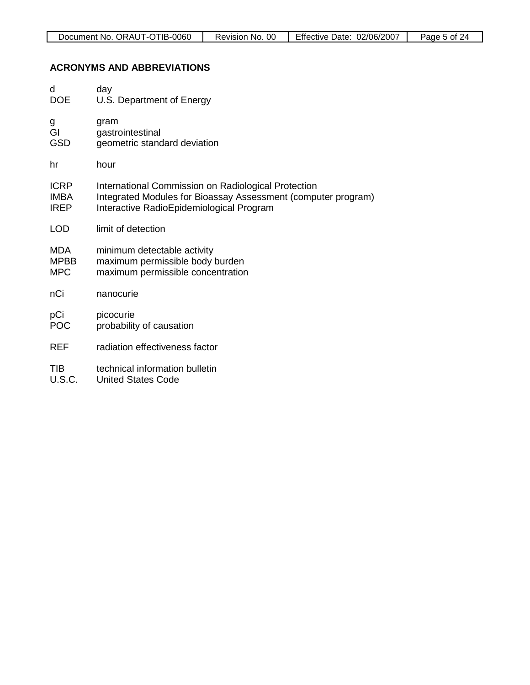## **ACRONYMS AND ABBREVIATIONS**

| d             | day                                                           |
|---------------|---------------------------------------------------------------|
| <b>DOE</b>    | U.S. Department of Energy                                     |
| g             | gram                                                          |
| GI            | gastrointestinal                                              |
| <b>GSD</b>    | geometric standard deviation                                  |
| hr            | hour                                                          |
| <b>ICRP</b>   | International Commission on Radiological Protection           |
| <b>IMBA</b>   | Integrated Modules for Bioassay Assessment (computer program) |
| <b>IREP</b>   | Interactive RadioEpidemiological Program                      |
| <b>LOD</b>    | limit of detection                                            |
| <b>MDA</b>    | minimum detectable activity                                   |
| <b>MPBB</b>   | maximum permissible body burden                               |
| <b>MPC</b>    | maximum permissible concentration                             |
| nCi           | nanocurie                                                     |
| pCi           | picocurie                                                     |
| <b>POC</b>    | probability of causation                                      |
| REF           | radiation effectiveness factor                                |
| <b>TIB</b>    | technical information bulletin                                |
| <b>U.S.C.</b> | <b>United States Code</b>                                     |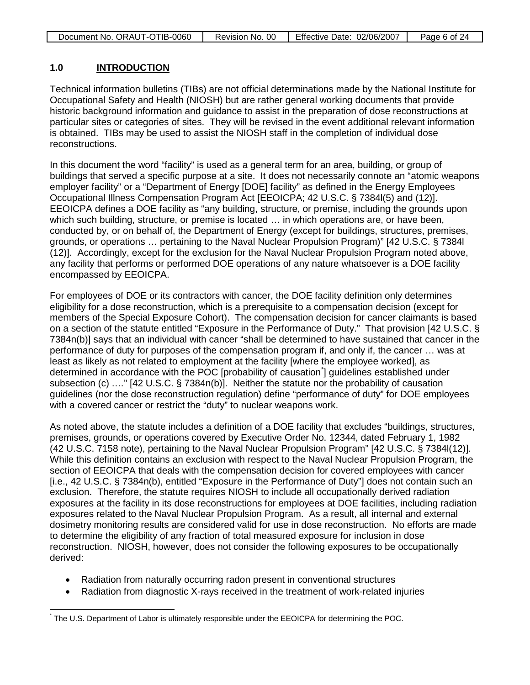| Document No. ORAUT-OTIB-0060 | Revision No. 00 | Effective Date: 02/06/2007 | Page 6 of 24 |
|------------------------------|-----------------|----------------------------|--------------|
|                              |                 |                            |              |

### **1.0 INTRODUCTION**

Technical information bulletins (TIBs) are not official determinations made by the National Institute for Occupational Safety and Health (NIOSH) but are rather general working documents that provide historic background information and guidance to assist in the preparation of dose reconstructions at particular sites or categories of sites. They will be revised in the event additional relevant information is obtained. TIBs may be used to assist the NIOSH staff in the completion of individual dose reconstructions.

In this document the word "facility" is used as a general term for an area, building, or group of buildings that served a specific purpose at a site. It does not necessarily connote an "atomic weapons employer facility" or a "Department of Energy [DOE] facility" as defined in the Energy Employees Occupational Illness Compensation Program Act [EEOICPA; 42 U.S.C. § 7384l(5) and (12)]. EEOICPA defines a DOE facility as "any building, structure, or premise, including the grounds upon which such building, structure, or premise is located … in which operations are, or have been, conducted by, or on behalf of, the Department of Energy (except for buildings, structures, premises, grounds, or operations … pertaining to the Naval Nuclear Propulsion Program)" [42 U.S.C. § 7384l (12)]. Accordingly, except for the exclusion for the Naval Nuclear Propulsion Program noted above, any facility that performs or performed DOE operations of any nature whatsoever is a DOE facility encompassed by EEOICPA.

For employees of DOE or its contractors with cancer, the DOE facility definition only determines eligibility for a dose reconstruction, which is a prerequisite to a compensation decision (except for members of the Special Exposure Cohort). The compensation decision for cancer claimants is based on a section of the statute entitled "Exposure in the Performance of Duty." That provision [42 U.S.C. § 7384n(b)] says that an individual with cancer "shall be determined to have sustained that cancer in the performance of duty for purposes of the compensation program if, and only if, the cancer … was at least as likely as not related to employment at the facility [where the employee worked], as determined in accordance with the POC [probability of causation<sup>[\\*](#page-5-0)</sup>] guidelines established under subsection (c) .…" [42 U.S.C. § 7384n(b)]. Neither the statute nor the probability of causation guidelines (nor the dose reconstruction regulation) define "performance of duty" for DOE employees with a covered cancer or restrict the "duty" to nuclear weapons work.

As noted above, the statute includes a definition of a DOE facility that excludes "buildings, structures, premises, grounds, or operations covered by Executive Order No. 12344, dated February 1, 1982 (42 U.S.C. 7158 note), pertaining to the Naval Nuclear Propulsion Program" [42 U.S.C. § 7384l(12)]. While this definition contains an exclusion with respect to the Naval Nuclear Propulsion Program, the section of EEOICPA that deals with the compensation decision for covered employees with cancer [i.e., 42 U.S.C. § 7384n(b), entitled "Exposure in the Performance of Duty"] does not contain such an exclusion. Therefore, the statute requires NIOSH to include all occupationally derived radiation exposures at the facility in its dose reconstructions for employees at DOE facilities, including radiation exposures related to the Naval Nuclear Propulsion Program. As a result, all internal and external dosimetry monitoring results are considered valid for use in dose reconstruction. No efforts are made to determine the eligibility of any fraction of total measured exposure for inclusion in dose reconstruction. NIOSH, however, does not consider the following exposures to be occupationally derived:

- Radiation from naturally occurring radon present in conventional structures
- Radiation from diagnostic X-rays received in the treatment of work-related injuries

<span id="page-5-0"></span>The U.S. Department of Labor is ultimately responsible under the EEOICPA for determining the POC.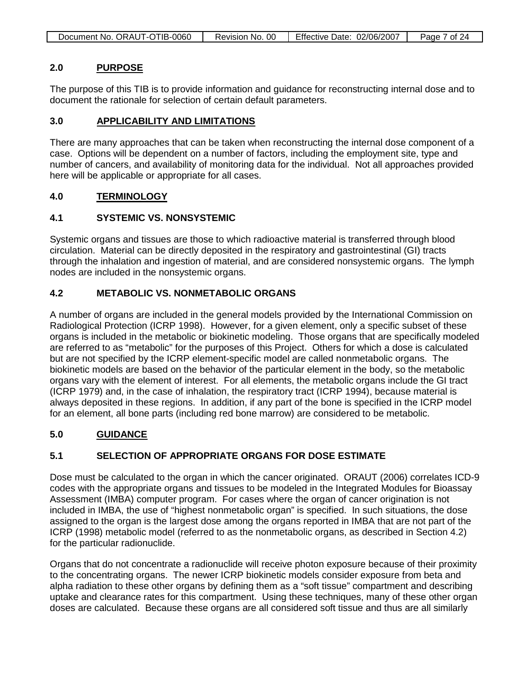| Document No. ORAUT-OTIB-0060 | Revision No. 00 | Effective Date: 02/06/2007 | Page 7 of 24 |
|------------------------------|-----------------|----------------------------|--------------|
|                              |                 |                            |              |

### **2.0 PURPOSE**

The purpose of this TIB is to provide information and guidance for reconstructing internal dose and to document the rationale for selection of certain default parameters.

### **3.0 APPLICABILITY AND LIMITATIONS**

There are many approaches that can be taken when reconstructing the internal dose component of a case. Options will be dependent on a number of factors, including the employment site, type and number of cancers, and availability of monitoring data for the individual. Not all approaches provided here will be applicable or appropriate for all cases.

### **4.0 TERMINOLOGY**

## **4.1 SYSTEMIC VS. NONSYSTEMIC**

Systemic organs and tissues are those to which radioactive material is transferred through blood circulation. Material can be directly deposited in the respiratory and gastrointestinal (GI) tracts through the inhalation and ingestion of material, and are considered nonsystemic organs. The lymph nodes are included in the nonsystemic organs.

## **4.2 METABOLIC VS. NONMETABOLIC ORGANS**

A number of organs are included in the general models provided by the International Commission on Radiological Protection (ICRP 1998). However, for a given element, only a specific subset of these organs is included in the metabolic or biokinetic modeling. Those organs that are specifically modeled are referred to as "metabolic" for the purposes of this Project. Others for which a dose is calculated but are not specified by the ICRP element-specific model are called nonmetabolic organs. The biokinetic models are based on the behavior of the particular element in the body, so the metabolic organs vary with the element of interest. For all elements, the metabolic organs include the GI tract (ICRP 1979) and, in the case of inhalation, the respiratory tract (ICRP 1994), because material is always deposited in these regions. In addition, if any part of the bone is specified in the ICRP model for an element, all bone parts (including red bone marrow) are considered to be metabolic.

### **5.0 GUIDANCE**

## **5.1 SELECTION OF APPROPRIATE ORGANS FOR DOSE ESTIMATE**

Dose must be calculated to the organ in which the cancer originated. ORAUT (2006) correlates ICD-9 codes with the appropriate organs and tissues to be modeled in the Integrated Modules for Bioassay Assessment (IMBA) computer program. For cases where the organ of cancer origination is not included in IMBA, the use of "highest nonmetabolic organ" is specified. In such situations, the dose assigned to the organ is the largest dose among the organs reported in IMBA that are not part of the ICRP (1998) metabolic model (referred to as the nonmetabolic organs, as described in Section 4.2) for the particular radionuclide.

Organs that do not concentrate a radionuclide will receive photon exposure because of their proximity to the concentrating organs. The newer ICRP biokinetic models consider exposure from beta and alpha radiation to these other organs by defining them as a "soft tissue" compartment and describing uptake and clearance rates for this compartment. Using these techniques, many of these other organ doses are calculated. Because these organs are all considered soft tissue and thus are all similarly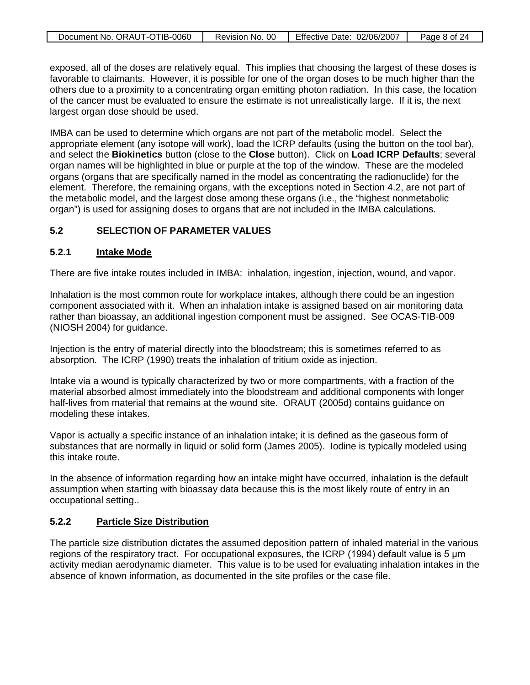| Document No. ORAUT-OTIB-0060 | Revision No. 00 | Effective Date: 02/06/2007 |              |
|------------------------------|-----------------|----------------------------|--------------|
|                              |                 |                            | Page 8 of 24 |

exposed, all of the doses are relatively equal. This implies that choosing the largest of these doses is favorable to claimants. However, it is possible for one of the organ doses to be much higher than the others due to a proximity to a concentrating organ emitting photon radiation. In this case, the location of the cancer must be evaluated to ensure the estimate is not unrealistically large. If it is, the next largest organ dose should be used.

IMBA can be used to determine which organs are not part of the metabolic model. Select the appropriate element (any isotope will work), load the ICRP defaults (using the button on the tool bar), and select the **Biokinetics** button (close to the **Close** button). Click on **Load ICRP Defaults**; several organ names will be highlighted in blue or purple at the top of the window. These are the modeled organs (organs that are specifically named in the model as concentrating the radionuclide) for the element. Therefore, the remaining organs, with the exceptions noted in Section 4.2, are not part of the metabolic model, and the largest dose among these organs (i.e., the "highest nonmetabolic organ") is used for assigning doses to organs that are not included in the IMBA calculations.

### **5.2 SELECTION OF PARAMETER VALUES**

#### **5.2.1 Intake Mode**

There are five intake routes included in IMBA: inhalation, ingestion, injection, wound, and vapor.

Inhalation is the most common route for workplace intakes, although there could be an ingestion component associated with it. When an inhalation intake is assigned based on air monitoring data rather than bioassay, an additional ingestion component must be assigned. See OCAS-TIB-009 (NIOSH 2004) for guidance.

Injection is the entry of material directly into the bloodstream; this is sometimes referred to as absorption. The ICRP (1990) treats the inhalation of tritium oxide as injection.

Intake via a wound is typically characterized by two or more compartments, with a fraction of the material absorbed almost immediately into the bloodstream and additional components with longer half-lives from material that remains at the wound site. ORAUT (2005d) contains guidance on modeling these intakes.

Vapor is actually a specific instance of an inhalation intake; it is defined as the gaseous form of substances that are normally in liquid or solid form (James 2005). Iodine is typically modeled using this intake route.

In the absence of information regarding how an intake might have occurred, inhalation is the default assumption when starting with bioassay data because this is the most likely route of entry in an occupational setting..

#### **5.2.2 Particle Size Distribution**

The particle size distribution dictates the assumed deposition pattern of inhaled material in the various regions of the respiratory tract. For occupational exposures, the ICRP (1994) default value is 5 μm activity median aerodynamic diameter. This value is to be used for evaluating inhalation intakes in the absence of known information, as documented in the site profiles or the case file.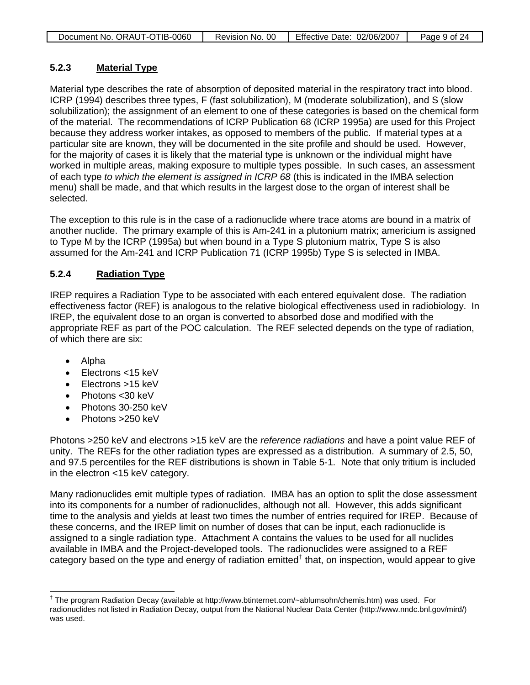| Document No. ORAUT-OTIB-0060 | Revision No. 00 | Effective Date: 02/06/2007 | Page 9 of 24 |
|------------------------------|-----------------|----------------------------|--------------|
|                              |                 |                            |              |

### **5.2.3 Material Type**

Material type describes the rate of absorption of deposited material in the respiratory tract into blood. ICRP (1994) describes three types, F (fast solubilization), M (moderate solubilization), and S (slow solubilization); the assignment of an element to one of these categories is based on the chemical form of the material. The recommendations of ICRP Publication 68 (ICRP 1995a) are used for this Project because they address worker intakes, as opposed to members of the public. If material types at a particular site are known, they will be documented in the site profile and should be used. However, for the majority of cases it is likely that the material type is unknown or the individual might have worked in multiple areas, making exposure to multiple types possible. In such cases, an assessment of each type *to which the element is assigned in ICRP 68* (this is indicated in the IMBA selection menu) shall be made, and that which results in the largest dose to the organ of interest shall be selected.

The exception to this rule is in the case of a radionuclide where trace atoms are bound in a matrix of another nuclide. The primary example of this is Am-241 in a plutonium matrix; americium is assigned to Type M by the ICRP (1995a) but when bound in a Type S plutonium matrix, Type S is also assumed for the Am-241 and ICRP Publication 71 (ICRP 1995b) Type S is selected in IMBA.

### **5.2.4 Radiation Type**

IREP requires a Radiation Type to be associated with each entered equivalent dose. The radiation effectiveness factor (REF) is analogous to the relative biological effectiveness used in radiobiology. In IREP, the equivalent dose to an organ is converted to absorbed dose and modified with the appropriate REF as part of the POC calculation. The REF selected depends on the type of radiation, of which there are six:

- Alpha
- Electrons <15 keV
- Flectrons >15 keV
- Photons < 30 keV
- Photons 30-250 keV
- Photons > 250 keV

Photons >250 keV and electrons >15 keV are the *reference radiations* and have a point value REF of unity. The REFs for the other radiation types are expressed as a distribution. A summary of 2.5, 50, and 97.5 percentiles for the REF distributions is shown in Table 5-1. Note that only tritium is included in the electron <15 keV category.

Many radionuclides emit multiple types of radiation. IMBA has an option to split the dose assessment into its components for a number of radionuclides, although not all. However, this adds significant time to the analysis and yields at least two times the number of entries required for IREP. Because of these concerns, and the IREP limit on number of doses that can be input, each radionuclide is assigned to a single radiation type. Attachment A contains the values to be used for all nuclides available in IMBA and the Project-developed tools. The radionuclides were assigned to a REF category based on the type and energy of radiation emitted<sup>[†](#page-8-0)</sup> that, on inspection, would appear to give

<span id="page-8-0"></span> <sup>†</sup> The program Radiation Decay (available at [http://www.btinternet.com/~ablumsohn/chemis.htm\)](http://www.btinternet.com/~ablumsohn/chemis.htm) was used. For radionuclides not listed in Radiation Decay, output from the National Nuclear Data Center [\(http://www.nndc.bnl.gov/mird/\)](http://www.nndc.bnl.gov/mird/) was used.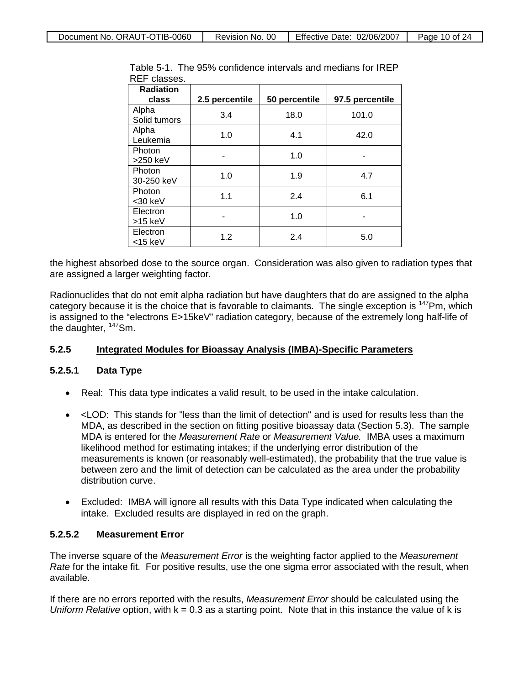| <b>Radiation</b>       |                |               |                 |
|------------------------|----------------|---------------|-----------------|
| class                  | 2.5 percentile | 50 percentile | 97.5 percentile |
| Alpha<br>Solid tumors  | 3.4            | 18.0          | 101.0           |
| Alpha<br>Leukemia      | 1.0            | 4.1           | 42.0            |
| Photon<br>$>250$ keV   |                | 1.0           |                 |
| Photon<br>30-250 keV   | 1.0            | 1.9           | 4.7             |
| Photon<br>$<$ 30 keV   | 1.1            | 2.4           | 6.1             |
| Electron<br>$>15$ keV  |                | 1.0           |                 |
| Electron<br>$<$ 15 keV | 1.2            | 2.4           | 5.0             |

Table 5-1. The 95% confidence intervals and medians for IREP REF classes.

the highest absorbed dose to the source organ. Consideration was also given to radiation types that are assigned a larger weighting factor.

Radionuclides that do not emit alpha radiation but have daughters that do are assigned to the alpha category because it is the choice that is favorable to claimants. The single exception is 147Pm, which is assigned to the "electrons E>15keV" radiation category, because of the extremely long half-life of the daughter, <sup>147</sup>Sm.

#### **5.2.5 Integrated Modules for Bioassay Analysis (IMBA)-Specific Parameters**

### **5.2.5.1 Data Type**

- Real: This data type indicates a valid result, to be used in the intake calculation.
- <LOD: This stands for "less than the limit of detection" and is used for results less than the MDA, as described in the section on fitting positive bioassay data (Section 5.3). The sample MDA is entered for the *Measurement Rate* or *Measurement Value.* IMBA uses a maximum likelihood method for estimating intakes; if the underlying error distribution of the measurements is known (or reasonably well-estimated), the probability that the true value is between zero and the limit of detection can be calculated as the area under the probability distribution curve.
- Excluded: IMBA will ignore all results with this Data Type indicated when calculating the intake. Excluded results are displayed in red on the graph.

## **5.2.5.2 Measurement Error**

The inverse square of the *Measurement Error* is the weighting factor applied to the *Measurement Rate* for the intake fit. For positive results, use the one sigma error associated with the result, when available.

If there are no errors reported with the results, *Measurement Error* should be calculated using the *Uniform Relative* option, with k = 0.3 as a starting point. Note that in this instance the value of k is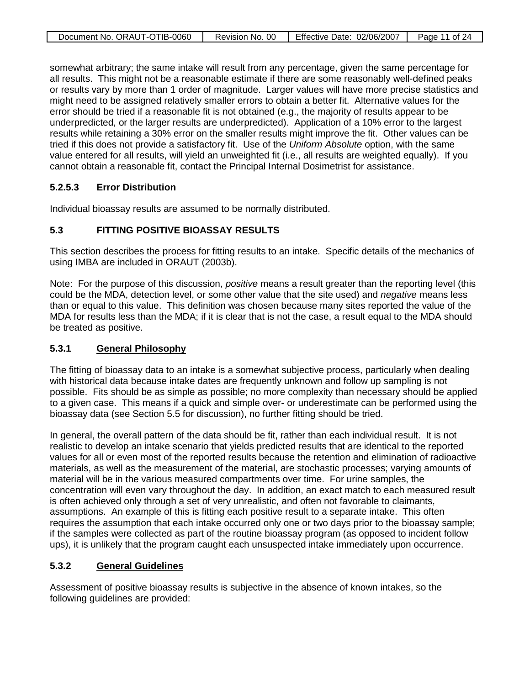| Document No. ORAUT-OTIB-0060 | Revision No. 00 | Effective Date: 02/06/2007 | Page 11 of 24 |
|------------------------------|-----------------|----------------------------|---------------|
|                              |                 |                            |               |

somewhat arbitrary; the same intake will result from any percentage, given the same percentage for all results. This might not be a reasonable estimate if there are some reasonably well-defined peaks or results vary by more than 1 order of magnitude. Larger values will have more precise statistics and might need to be assigned relatively smaller errors to obtain a better fit. Alternative values for the error should be tried if a reasonable fit is not obtained (e.g., the majority of results appear to be underpredicted, or the larger results are underpredicted). Application of a 10% error to the largest results while retaining a 30% error on the smaller results might improve the fit. Other values can be tried if this does not provide a satisfactory fit. Use of the *Uniform Absolute* option, with the same value entered for all results, will yield an unweighted fit (i.e., all results are weighted equally). If you cannot obtain a reasonable fit, contact the Principal Internal Dosimetrist for assistance.

### **5.2.5.3 Error Distribution**

Individual bioassay results are assumed to be normally distributed.

### **5.3 FITTING POSITIVE BIOASSAY RESULTS**

This section describes the process for fitting results to an intake. Specific details of the mechanics of using IMBA are included in ORAUT (2003b).

Note: For the purpose of this discussion, *positive* means a result greater than the reporting level (this could be the MDA, detection level, or some other value that the site used) and *negative* means less than or equal to this value. This definition was chosen because many sites reported the value of the MDA for results less than the MDA; if it is clear that is not the case, a result equal to the MDA should be treated as positive.

#### **5.3.1 General Philosophy**

The fitting of bioassay data to an intake is a somewhat subjective process, particularly when dealing with historical data because intake dates are frequently unknown and follow up sampling is not possible. Fits should be as simple as possible; no more complexity than necessary should be applied to a given case. This means if a quick and simple over- or underestimate can be performed using the bioassay data (see Section 5.5 for discussion), no further fitting should be tried.

In general, the overall pattern of the data should be fit, rather than each individual result. It is not realistic to develop an intake scenario that yields predicted results that are identical to the reported values for all or even most of the reported results because the retention and elimination of radioactive materials, as well as the measurement of the material, are stochastic processes; varying amounts of material will be in the various measured compartments over time. For urine samples, the concentration will even vary throughout the day. In addition, an exact match to each measured result is often achieved only through a set of very unrealistic, and often not favorable to claimants, assumptions. An example of this is fitting each positive result to a separate intake. This often requires the assumption that each intake occurred only one or two days prior to the bioassay sample; if the samples were collected as part of the routine bioassay program (as opposed to incident follow ups), it is unlikely that the program caught each unsuspected intake immediately upon occurrence.

#### **5.3.2 General Guidelines**

Assessment of positive bioassay results is subjective in the absence of known intakes, so the following guidelines are provided: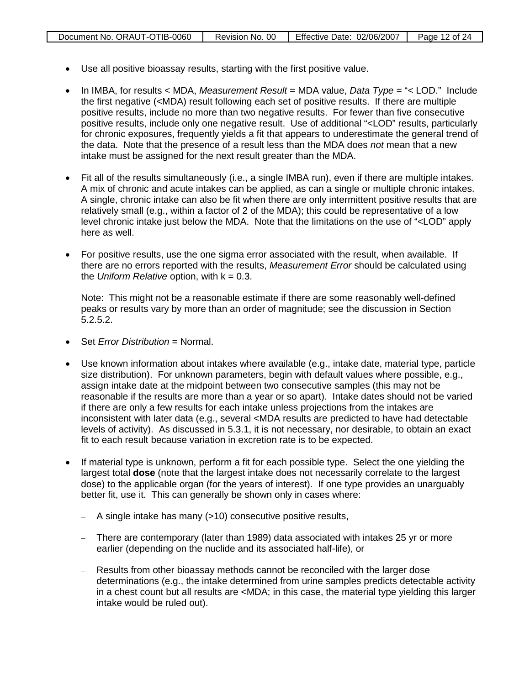- Use all positive bioassay results, starting with the first positive value.
- In IMBA, for results < MDA, *Measurement Result* = MDA value, *Data Type* = "< LOD." Include the first negative (<MDA) result following each set of positive results. If there are multiple positive results, include no more than two negative results. For fewer than five consecutive positive results, include only one negative result. Use of additional "<LOD" results, particularly for chronic exposures, frequently yields a fit that appears to underestimate the general trend of the data. Note that the presence of a result less than the MDA does *not* mean that a new intake must be assigned for the next result greater than the MDA.
- Fit all of the results simultaneously (i.e., a single IMBA run), even if there are multiple intakes. A mix of chronic and acute intakes can be applied, as can a single or multiple chronic intakes. A single, chronic intake can also be fit when there are only intermittent positive results that are relatively small (e.g., within a factor of 2 of the MDA); this could be representative of a low level chronic intake just below the MDA. Note that the limitations on the use of "<LOD" apply here as well.
- For positive results, use the one sigma error associated with the result, when available. If there are no errors reported with the results, *Measurement Error* should be calculated using the *Uniform Relative* option, with k = 0.3.

Note: This might not be a reasonable estimate if there are some reasonably well-defined peaks or results vary by more than an order of magnitude; see the discussion in Section 5.2.5.2.

- Set *Error Distribution* = Normal.
- Use known information about intakes where available (e.g., intake date, material type, particle size distribution). For unknown parameters, begin with default values where possible, e.g., assign intake date at the midpoint between two consecutive samples (this may not be reasonable if the results are more than a year or so apart). Intake dates should not be varied if there are only a few results for each intake unless projections from the intakes are inconsistent with later data (e.g., several <MDA results are predicted to have had detectable levels of activity). As discussed in 5.3.1, it is not necessary, nor desirable, to obtain an exact fit to each result because variation in excretion rate is to be expected.
- If material type is unknown, perform a fit for each possible type. Select the one yielding the largest total **dose** (note that the largest intake does not necessarily correlate to the largest dose) to the applicable organ (for the years of interest). If one type provides an unarguably better fit, use it. This can generally be shown only in cases where:
	- $-$  A single intake has many ( $>10$ ) consecutive positive results,
	- There are contemporary (later than 1989) data associated with intakes 25 yr or more earlier (depending on the nuclide and its associated half-life), or
	- Results from other bioassay methods cannot be reconciled with the larger dose determinations (e.g., the intake determined from urine samples predicts detectable activity in a chest count but all results are <MDA; in this case, the material type yielding this larger intake would be ruled out).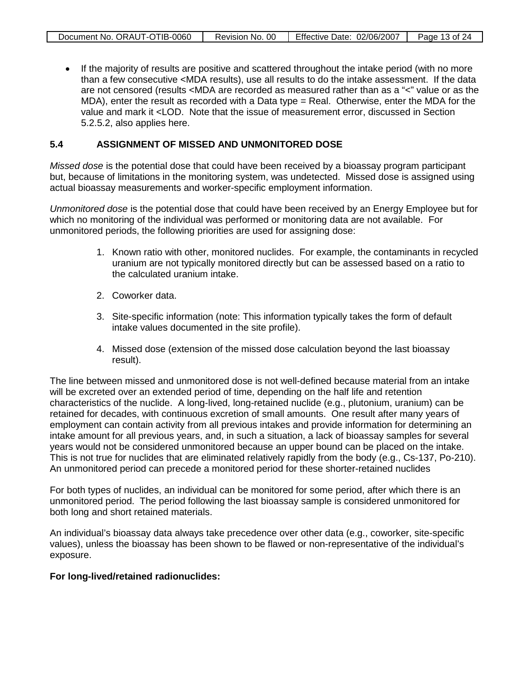• If the majority of results are positive and scattered throughout the intake period (with no more than a few consecutive <MDA results), use all results to do the intake assessment. If the data are not censored (results <MDA are recorded as measured rather than as a "<" value or as the MDA), enter the result as recorded with a Data type = Real. Otherwise, enter the MDA for the value and mark it <LOD. Note that the issue of measurement error, discussed in Section 5.2.5.2, also applies here.

### **5.4 ASSIGNMENT OF MISSED AND UNMONITORED DOSE**

*Missed dose* is the potential dose that could have been received by a bioassay program participant but, because of limitations in the monitoring system, was undetected. Missed dose is assigned using actual bioassay measurements and worker-specific employment information.

*Unmonitored dose* is the potential dose that could have been received by an Energy Employee but for which no monitoring of the individual was performed or monitoring data are not available. For unmonitored periods, the following priorities are used for assigning dose:

- 1. Known ratio with other, monitored nuclides. For example, the contaminants in recycled uranium are not typically monitored directly but can be assessed based on a ratio to the calculated uranium intake.
- 2. Coworker data.
- 3. Site-specific information (note: This information typically takes the form of default intake values documented in the site profile).
- 4. Missed dose (extension of the missed dose calculation beyond the last bioassay result).

The line between missed and unmonitored dose is not well-defined because material from an intake will be excreted over an extended period of time, depending on the half life and retention characteristics of the nuclide. A long-lived, long-retained nuclide (e.g., plutonium, uranium) can be retained for decades, with continuous excretion of small amounts. One result after many years of employment can contain activity from all previous intakes and provide information for determining an intake amount for all previous years, and, in such a situation, a lack of bioassay samples for several years would not be considered unmonitored because an upper bound can be placed on the intake. This is not true for nuclides that are eliminated relatively rapidly from the body (e.g., Cs-137, Po-210). An unmonitored period can precede a monitored period for these shorter-retained nuclides

For both types of nuclides, an individual can be monitored for some period, after which there is an unmonitored period. The period following the last bioassay sample is considered unmonitored for both long and short retained materials.

An individual's bioassay data always take precedence over other data (e.g., coworker, site-specific values), unless the bioassay has been shown to be flawed or non-representative of the individual's exposure.

### **For long-lived/retained radionuclides:**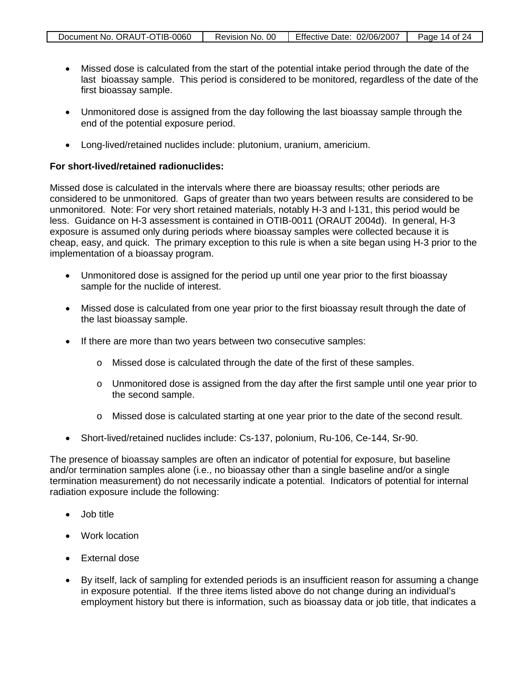| Document No. ORAUT-OTIB-0060 | Revision No. 00 | Effective Date: 02/06/2007 | Page 14 of 24 |
|------------------------------|-----------------|----------------------------|---------------|
|                              |                 |                            |               |

- Missed dose is calculated from the start of the potential intake period through the date of the last bioassay sample. This period is considered to be monitored, regardless of the date of the first bioassay sample.
- Unmonitored dose is assigned from the day following the last bioassay sample through the end of the potential exposure period.
- Long-lived/retained nuclides include: plutonium, uranium, americium.

### **For short-lived/retained radionuclides:**

Missed dose is calculated in the intervals where there are bioassay results; other periods are considered to be unmonitored. Gaps of greater than two years between results are considered to be unmonitored. Note: For very short retained materials, notably H-3 and I-131, this period would be less. Guidance on H-3 assessment is contained in OTIB-0011 (ORAUT 2004d). In general, H-3 exposure is assumed only during periods where bioassay samples were collected because it is cheap, easy, and quick. The primary exception to this rule is when a site began using H-3 prior to the implementation of a bioassay program.

- Unmonitored dose is assigned for the period up until one year prior to the first bioassay sample for the nuclide of interest.
- Missed dose is calculated from one year prior to the first bioassay result through the date of the last bioassay sample.
- If there are more than two years between two consecutive samples:
	- o Missed dose is calculated through the date of the first of these samples.
	- o Unmonitored dose is assigned from the day after the first sample until one year prior to the second sample.
	- o Missed dose is calculated starting at one year prior to the date of the second result.
- Short-lived/retained nuclides include: Cs-137, polonium, Ru-106, Ce-144, Sr-90.

The presence of bioassay samples are often an indicator of potential for exposure, but baseline and/or termination samples alone (i.e., no bioassay other than a single baseline and/or a single termination measurement) do not necessarily indicate a potential. Indicators of potential for internal radiation exposure include the following:

- Job title
- Work location
- External dose
- By itself, lack of sampling for extended periods is an insufficient reason for assuming a change in exposure potential. If the three items listed above do not change during an individual's employment history but there is information, such as bioassay data or job title, that indicates a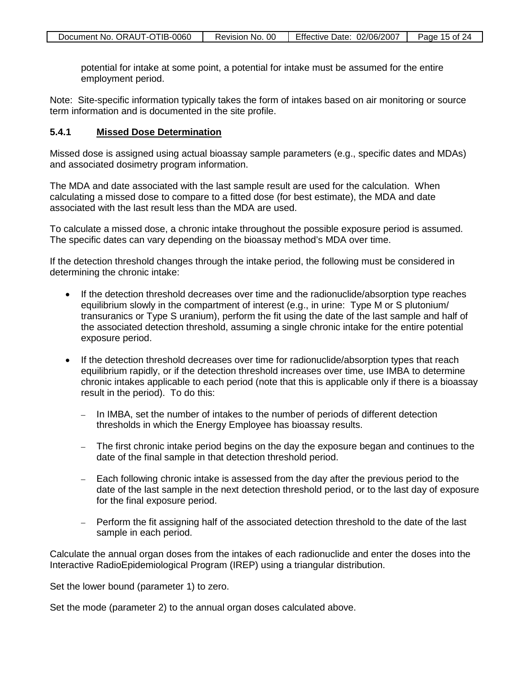potential for intake at some point, a potential for intake must be assumed for the entire employment period.

Note: Site-specific information typically takes the form of intakes based on air monitoring or source term information and is documented in the site profile.

#### **5.4.1 Missed Dose Determination**

Missed dose is assigned using actual bioassay sample parameters (e.g., specific dates and MDAs) and associated dosimetry program information.

The MDA and date associated with the last sample result are used for the calculation. When calculating a missed dose to compare to a fitted dose (for best estimate), the MDA and date associated with the last result less than the MDA are used.

To calculate a missed dose, a chronic intake throughout the possible exposure period is assumed. The specific dates can vary depending on the bioassay method's MDA over time.

If the detection threshold changes through the intake period, the following must be considered in determining the chronic intake:

- If the detection threshold decreases over time and the radionuclide/absorption type reaches equilibrium slowly in the compartment of interest (e.g., in urine: Type M or S plutonium/ transuranics or Type S uranium), perform the fit using the date of the last sample and half of the associated detection threshold, assuming a single chronic intake for the entire potential exposure period.
- If the detection threshold decreases over time for radionuclide/absorption types that reach equilibrium rapidly, or if the detection threshold increases over time, use IMBA to determine chronic intakes applicable to each period (note that this is applicable only if there is a bioassay result in the period). To do this:
	- In IMBA, set the number of intakes to the number of periods of different detection thresholds in which the Energy Employee has bioassay results.
	- The first chronic intake period begins on the day the exposure began and continues to the date of the final sample in that detection threshold period.
	- Each following chronic intake is assessed from the day after the previous period to the date of the last sample in the next detection threshold period, or to the last day of exposure for the final exposure period.
	- Perform the fit assigning half of the associated detection threshold to the date of the last sample in each period.

Calculate the annual organ doses from the intakes of each radionuclide and enter the doses into the Interactive RadioEpidemiological Program (IREP) using a triangular distribution.

Set the lower bound (parameter 1) to zero.

Set the mode (parameter 2) to the annual organ doses calculated above.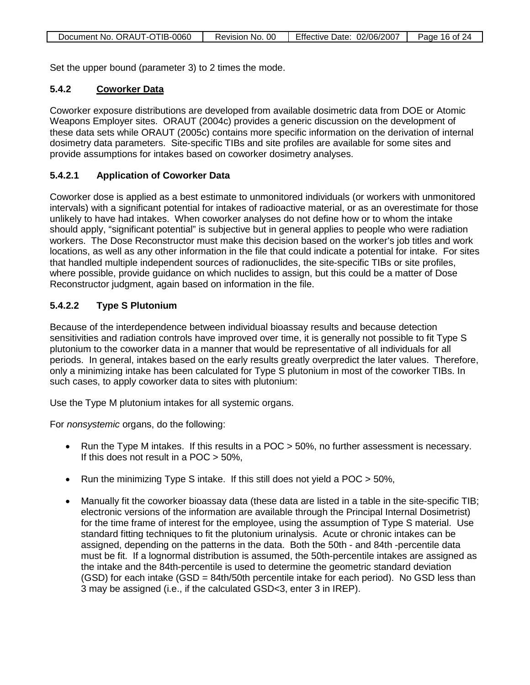| Document No. ORAUT-OTIB-0060 | Revision No. 00 | Effective Date: 02/06/2007 | Page 16 of 24 |
|------------------------------|-----------------|----------------------------|---------------|
|                              |                 |                            |               |

Set the upper bound (parameter 3) to 2 times the mode.

### **5.4.2 Coworker Data**

Coworker exposure distributions are developed from available dosimetric data from DOE or Atomic Weapons Employer sites. ORAUT (2004c) provides a generic discussion on the development of these data sets while ORAUT (2005c) contains more specific information on the derivation of internal dosimetry data parameters. Site-specific TIBs and site profiles are available for some sites and provide assumptions for intakes based on coworker dosimetry analyses.

## **5.4.2.1 Application of Coworker Data**

Coworker dose is applied as a best estimate to unmonitored individuals (or workers with unmonitored intervals) with a significant potential for intakes of radioactive material, or as an overestimate for those unlikely to have had intakes. When coworker analyses do not define how or to whom the intake should apply, "significant potential" is subjective but in general applies to people who were radiation workers. The Dose Reconstructor must make this decision based on the worker's job titles and work locations, as well as any other information in the file that could indicate a potential for intake. For sites that handled multiple independent sources of radionuclides, the site-specific TIBs or site profiles, where possible, provide guidance on which nuclides to assign, but this could be a matter of Dose Reconstructor judgment, again based on information in the file.

## **5.4.2.2 Type S Plutonium**

Because of the interdependence between individual bioassay results and because detection sensitivities and radiation controls have improved over time, it is generally not possible to fit Type S plutonium to the coworker data in a manner that would be representative of all individuals for all periods. In general, intakes based on the early results greatly overpredict the later values. Therefore, only a minimizing intake has been calculated for Type S plutonium in most of the coworker TIBs. In such cases, to apply coworker data to sites with plutonium:

Use the Type M plutonium intakes for all systemic organs.

For *nonsystemic* organs, do the following:

- Run the Type M intakes. If this results in a POC > 50%, no further assessment is necessary. If this does not result in a POC > 50%,
- Run the minimizing Type S intake. If this still does not yield a POC > 50%,
- Manually fit the coworker bioassay data (these data are listed in a table in the site-specific TIB; electronic versions of the information are available through the Principal Internal Dosimetrist) for the time frame of interest for the employee, using the assumption of Type S material. Use standard fitting techniques to fit the plutonium urinalysis. Acute or chronic intakes can be assigned, depending on the patterns in the data. Both the 50th - and 84th -percentile data must be fit. If a lognormal distribution is assumed, the 50th-percentile intakes are assigned as the intake and the 84th-percentile is used to determine the geometric standard deviation (GSD) for each intake (GSD = 84th/50th percentile intake for each period). No GSD less than 3 may be assigned (i.e., if the calculated GSD<3, enter 3 in IREP).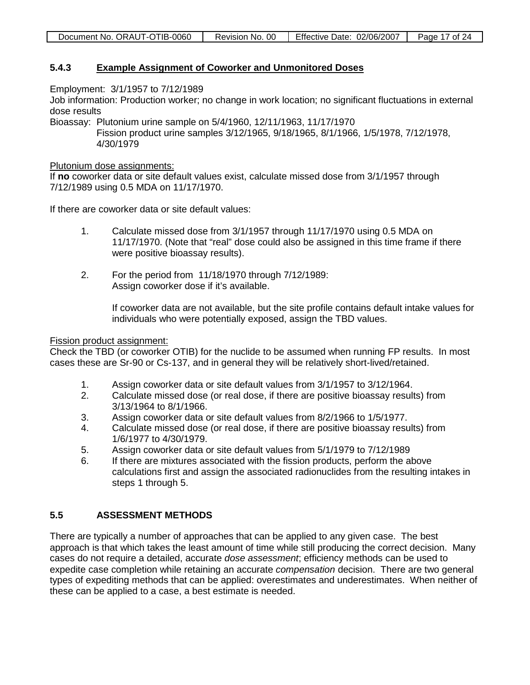| Document No. ORAUT-OTIB-0060 | Revision No. 00 | Effective Date: 02/06/2007 | Page 17 of 24 |
|------------------------------|-----------------|----------------------------|---------------|
|                              |                 |                            |               |

#### **5.4.3 Example Assignment of Coworker and Unmonitored Doses**

Employment: 3/1/1957 to 7/12/1989

Job information: Production worker; no change in work location; no significant fluctuations in external dose results

Bioassay: Plutonium urine sample on 5/4/1960, 12/11/1963, 11/17/1970 Fission product urine samples 3/12/1965, 9/18/1965, 8/1/1966, 1/5/1978, 7/12/1978, 4/30/1979

### Plutonium dose assignments:

If **no** coworker data or site default values exist, calculate missed dose from 3/1/1957 through 7/12/1989 using 0.5 MDA on 11/17/1970.

If there are coworker data or site default values:

- 1. Calculate missed dose from 3/1/1957 through 11/17/1970 using 0.5 MDA on 11/17/1970. (Note that "real" dose could also be assigned in this time frame if there were positive bioassay results).
- 2. For the period from 11/18/1970 through 7/12/1989: Assign coworker dose if it's available.

If coworker data are not available, but the site profile contains default intake values for individuals who were potentially exposed, assign the TBD values.

### Fission product assignment:

Check the TBD (or coworker OTIB) for the nuclide to be assumed when running FP results. In most cases these are Sr-90 or Cs-137, and in general they will be relatively short-lived/retained.

- 1. Assign coworker data or site default values from 3/1/1957 to 3/12/1964.
- 2. Calculate missed dose (or real dose, if there are positive bioassay results) from 3/13/1964 to 8/1/1966.
- 3. Assign coworker data or site default values from 8/2/1966 to 1/5/1977.<br>4. Calculate missed dose (or real dose, if there are positive bioassav resu
- 4. Calculate missed dose (or real dose, if there are positive bioassay results) from 1/6/1977 to 4/30/1979.
- 5. Assign coworker data or site default values from 5/1/1979 to 7/12/1989
- 6. If there are mixtures associated with the fission products, perform the above calculations first and assign the associated radionuclides from the resulting intakes in steps 1 through 5.

### **5.5 ASSESSMENT METHODS**

There are typically a number of approaches that can be applied to any given case. The best approach is that which takes the least amount of time while still producing the correct decision. Many cases do not require a detailed, accurate *dose assessment*; efficiency methods can be used to expedite case completion while retaining an accurate *compensation* decision. There are two general types of expediting methods that can be applied: overestimates and underestimates. When neither of these can be applied to a case, a best estimate is needed.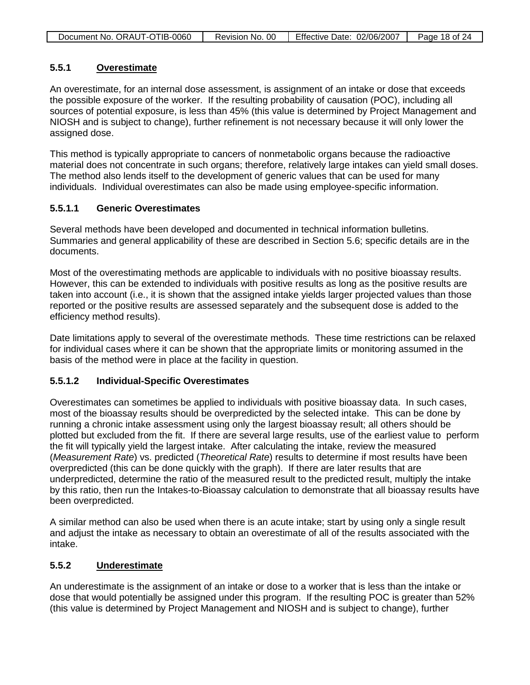| Document No. ORAUT-OTIB-0060 | Revision No. 00 | Effective Date: 02/06/2007 | Page 18 of 24 |
|------------------------------|-----------------|----------------------------|---------------|
|                              |                 |                            |               |

#### **5.5.1 Overestimate**

An overestimate, for an internal dose assessment, is assignment of an intake or dose that exceeds the possible exposure of the worker. If the resulting probability of causation (POC), including all sources of potential exposure, is less than 45% (this value is determined by Project Management and NIOSH and is subject to change), further refinement is not necessary because it will only lower the assigned dose.

This method is typically appropriate to cancers of nonmetabolic organs because the radioactive material does not concentrate in such organs; therefore, relatively large intakes can yield small doses. The method also lends itself to the development of generic values that can be used for many individuals. Individual overestimates can also be made using employee-specific information.

### **5.5.1.1 Generic Overestimates**

Several methods have been developed and documented in technical information bulletins. Summaries and general applicability of these are described in Section 5.6; specific details are in the documents.

Most of the overestimating methods are applicable to individuals with no positive bioassay results. However, this can be extended to individuals with positive results as long as the positive results are taken into account (i.e., it is shown that the assigned intake yields larger projected values than those reported or the positive results are assessed separately and the subsequent dose is added to the efficiency method results).

Date limitations apply to several of the overestimate methods. These time restrictions can be relaxed for individual cases where it can be shown that the appropriate limits or monitoring assumed in the basis of the method were in place at the facility in question.

### **5.5.1.2 Individual-Specific Overestimates**

Overestimates can sometimes be applied to individuals with positive bioassay data. In such cases, most of the bioassay results should be overpredicted by the selected intake. This can be done by running a chronic intake assessment using only the largest bioassay result; all others should be plotted but excluded from the fit. If there are several large results, use of the earliest value to perform the fit will typically yield the largest intake. After calculating the intake, review the measured (*Measurement Rate*) vs. predicted (*Theoretical Rate*) results to determine if most results have been overpredicted (this can be done quickly with the graph). If there are later results that are underpredicted, determine the ratio of the measured result to the predicted result, multiply the intake by this ratio, then run the Intakes-to-Bioassay calculation to demonstrate that all bioassay results have been overpredicted.

A similar method can also be used when there is an acute intake; start by using only a single result and adjust the intake as necessary to obtain an overestimate of all of the results associated with the intake.

#### **5.5.2 Underestimate**

An underestimate is the assignment of an intake or dose to a worker that is less than the intake or dose that would potentially be assigned under this program. If the resulting POC is greater than 52% (this value is determined by Project Management and NIOSH and is subject to change), further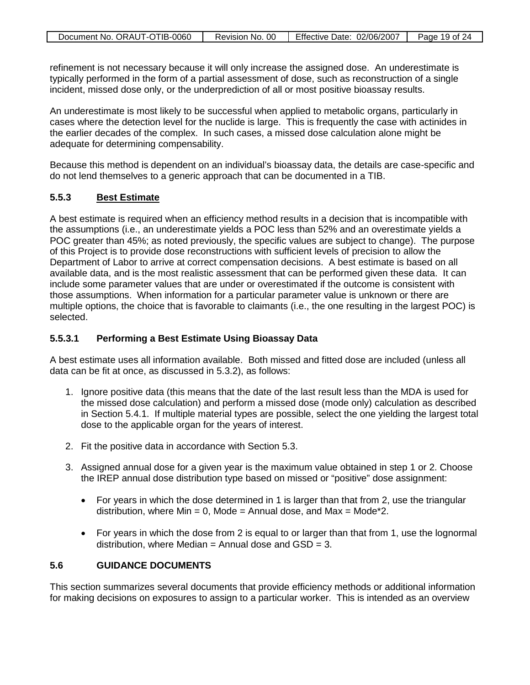| Document No. ORAUT-OTIB-0060 | Revision No. 00 | Effective Date: 02/06/2007 | Page 19 of 24 |
|------------------------------|-----------------|----------------------------|---------------|
|                              |                 |                            |               |

refinement is not necessary because it will only increase the assigned dose. An underestimate is typically performed in the form of a partial assessment of dose, such as reconstruction of a single incident, missed dose only, or the underprediction of all or most positive bioassay results.

An underestimate is most likely to be successful when applied to metabolic organs, particularly in cases where the detection level for the nuclide is large. This is frequently the case with actinides in the earlier decades of the complex. In such cases, a missed dose calculation alone might be adequate for determining compensability.

Because this method is dependent on an individual's bioassay data, the details are case-specific and do not lend themselves to a generic approach that can be documented in a TIB.

### **5.5.3 Best Estimate**

A best estimate is required when an efficiency method results in a decision that is incompatible with the assumptions (i.e., an underestimate yields a POC less than 52% and an overestimate yields a POC greater than 45%; as noted previously, the specific values are subject to change). The purpose of this Project is to provide dose reconstructions with sufficient levels of precision to allow the Department of Labor to arrive at correct compensation decisions. A best estimate is based on all available data, and is the most realistic assessment that can be performed given these data. It can include some parameter values that are under or overestimated if the outcome is consistent with those assumptions. When information for a particular parameter value is unknown or there are multiple options, the choice that is favorable to claimants (i.e., the one resulting in the largest POC) is selected.

### **5.5.3.1 Performing a Best Estimate Using Bioassay Data**

A best estimate uses all information available. Both missed and fitted dose are included (unless all data can be fit at once, as discussed in 5.3.2), as follows:

- 1. Ignore positive data (this means that the date of the last result less than the MDA is used for the missed dose calculation) and perform a missed dose (mode only) calculation as described in Section 5.4.1. If multiple material types are possible, select the one yielding the largest total dose to the applicable organ for the years of interest.
- 2. Fit the positive data in accordance with Section 5.3.
- 3. Assigned annual dose for a given year is the maximum value obtained in step 1 or 2. Choose the IREP annual dose distribution type based on missed or "positive" dose assignment:
	- For years in which the dose determined in 1 is larger than that from 2, use the triangular distribution, where  $Min = 0$ , Mode = Annual dose, and Max = Mode\*2.
	- For years in which the dose from 2 is equal to or larger than that from 1, use the lognormal distribution, where Median = Annual dose and  $GSD = 3$ .

### **5.6 GUIDANCE DOCUMENTS**

This section summarizes several documents that provide efficiency methods or additional information for making decisions on exposures to assign to a particular worker. This is intended as an overview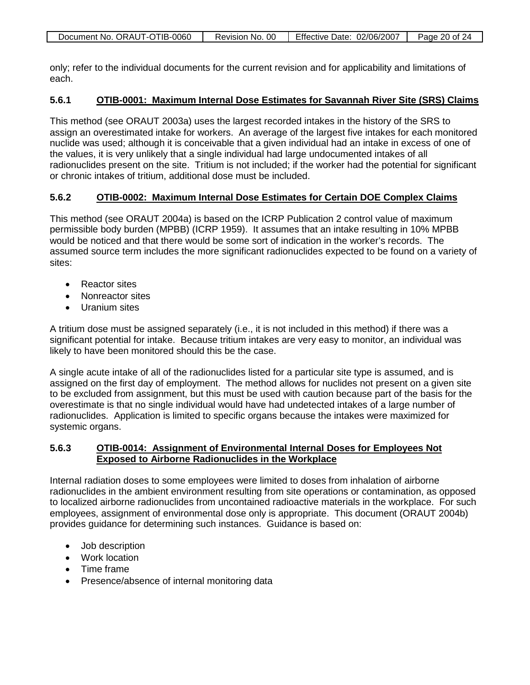only; refer to the individual documents for the current revision and for applicability and limitations of each.

#### **5.6.1 OTIB-0001: Maximum Internal Dose Estimates for Savannah River Site (SRS) Claims**

This method (see ORAUT 2003a) uses the largest recorded intakes in the history of the SRS to assign an overestimated intake for workers. An average of the largest five intakes for each monitored nuclide was used; although it is conceivable that a given individual had an intake in excess of one of the values, it is very unlikely that a single individual had large undocumented intakes of all radionuclides present on the site. Tritium is not included; if the worker had the potential for significant or chronic intakes of tritium, additional dose must be included.

#### **5.6.2 OTIB-0002: Maximum Internal Dose Estimates for Certain DOE Complex Claims**

This method (see ORAUT 2004a) is based on the ICRP Publication 2 control value of maximum permissible body burden (MPBB) (ICRP 1959). It assumes that an intake resulting in 10% MPBB would be noticed and that there would be some sort of indication in the worker's records. The assumed source term includes the more significant radionuclides expected to be found on a variety of sites:

- Reactor sites
- Nonreactor sites
- Uranium sites

A tritium dose must be assigned separately (i.e., it is not included in this method) if there was a significant potential for intake. Because tritium intakes are very easy to monitor, an individual was likely to have been monitored should this be the case.

A single acute intake of all of the radionuclides listed for a particular site type is assumed, and is assigned on the first day of employment. The method allows for nuclides not present on a given site to be excluded from assignment, but this must be used with caution because part of the basis for the overestimate is that no single individual would have had undetected intakes of a large number of radionuclides. Application is limited to specific organs because the intakes were maximized for systemic organs.

### **5.6.3 OTIB-0014: Assignment of Environmental Internal Doses for Employees Not Exposed to Airborne Radionuclides in the Workplace**

Internal radiation doses to some employees were limited to doses from inhalation of airborne radionuclides in the ambient environment resulting from site operations or contamination, as opposed to localized airborne radionuclides from uncontained radioactive materials in the workplace. For such employees, assignment of environmental dose only is appropriate. This document (ORAUT 2004b) provides guidance for determining such instances. Guidance is based on:

- Job description
- Work location
- Time frame
- Presence/absence of internal monitoring data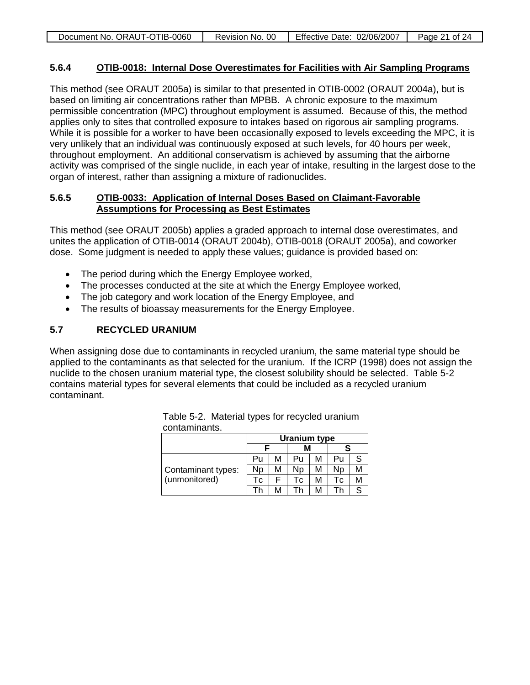| Document No. ORAUT-OTIB-0060 | Revision No. 00 | Effective Date: 02/06/2007 | Page 21 of 24 |
|------------------------------|-----------------|----------------------------|---------------|
|                              |                 |                            |               |

#### **5.6.4 OTIB-0018: Internal Dose Overestimates for Facilities with Air Sampling Programs**

This method (see ORAUT 2005a) is similar to that presented in OTIB-0002 (ORAUT 2004a), but is based on limiting air concentrations rather than MPBB. A chronic exposure to the maximum permissible concentration (MPC) throughout employment is assumed. Because of this, the method applies only to sites that controlled exposure to intakes based on rigorous air sampling programs. While it is possible for a worker to have been occasionally exposed to levels exceeding the MPC, it is very unlikely that an individual was continuously exposed at such levels, for 40 hours per week, throughout employment. An additional conservatism is achieved by assuming that the airborne activity was comprised of the single nuclide, in each year of intake, resulting in the largest dose to the organ of interest, rather than assigning a mixture of radionuclides.

### **5.6.5 OTIB-0033: Application of Internal Doses Based on Claimant-Favorable Assumptions for Processing as Best Estimates**

This method (see ORAUT 2005b) applies a graded approach to internal dose overestimates, and unites the application of OTIB-0014 (ORAUT 2004b), OTIB-0018 (ORAUT 2005a), and coworker dose. Some judgment is needed to apply these values; guidance is provided based on:

- The period during which the Energy Employee worked,
- The processes conducted at the site at which the Energy Employee worked,
- The job category and work location of the Energy Employee, and
- The results of bioassay measurements for the Energy Employee.

## **5.7 RECYCLED URANIUM**

When assigning dose due to contaminants in recycled uranium, the same material type should be applied to the contaminants as that selected for the uranium. If the ICRP (1998) does not assign the nuclide to the chosen uranium material type, the closest solubility should be selected. Table 5-2 contains material types for several elements that could be included as a recycled uranium contaminant.

|                    | <b>Uranium type</b> |   |    |   |    |   |
|--------------------|---------------------|---|----|---|----|---|
|                    |                     |   | м  |   |    |   |
|                    | Pu                  | М | Pu | М | Pu |   |
| Contaminant types: | Np                  | М | Np | М | Np | м |
| (unmonitored)      | Тc                  |   | Тc | М | Тc | м |
|                    |                     | M | Гh | М | Гh |   |

Table 5-2. Material types for recycled uranium contaminants.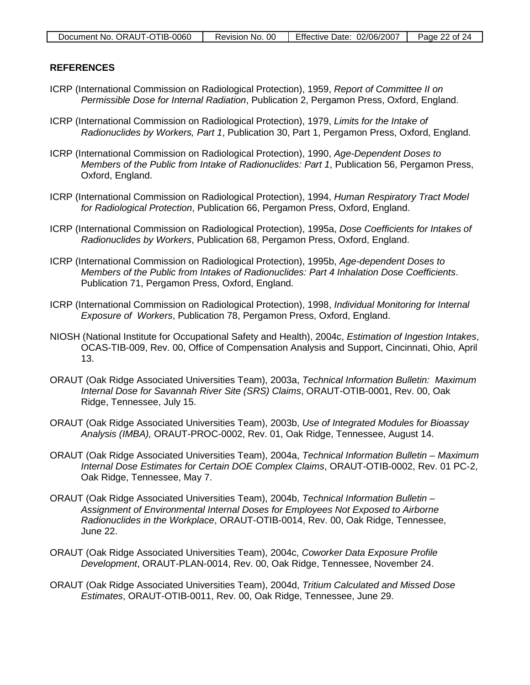### **REFERENCES**

- ICRP (International Commission on Radiological Protection), 1959, *Report of Committee II on Permissible Dose for Internal Radiation*, Publication 2, Pergamon Press, Oxford, England.
- ICRP (International Commission on Radiological Protection), 1979, *Limits for the Intake of Radionuclides by Workers, Part 1*, Publication 30, Part 1, Pergamon Press, Oxford, England.
- ICRP (International Commission on Radiological Protection), 1990, *Age-Dependent Doses to Members of the Public from Intake of Radionuclides: Part 1*, Publication 56, Pergamon Press, Oxford, England.
- ICRP (International Commission on Radiological Protection), 1994, *Human Respiratory Tract Model for Radiological Protection*, Publication 66, Pergamon Press, Oxford, England.
- ICRP (International Commission on Radiological Protection), 1995a, *Dose Coefficients for Intakes of Radionuclides by Workers*, Publication 68, Pergamon Press, Oxford, England.
- ICRP (International Commission on Radiological Protection), 1995b, *Age-dependent Doses to Members of the Public from Intakes of Radionuclides: Part 4 Inhalation Dose Coefficients*. Publication 71, Pergamon Press, Oxford, England.
- ICRP (International Commission on Radiological Protection), 1998, *Individual Monitoring for Internal Exposure of Workers*, Publication 78, Pergamon Press, Oxford, England.
- NIOSH (National Institute for Occupational Safety and Health), 2004c, *Estimation of Ingestion Intakes*, OCAS-TIB-009, Rev. 00, Office of Compensation Analysis and Support, Cincinnati, Ohio, April 13.
- ORAUT (Oak Ridge Associated Universities Team), 2003a, *Technical Information Bulletin: Maximum Internal Dose for Savannah River Site (SRS) Claims*, ORAUT-OTIB-0001, Rev. 00, Oak Ridge, Tennessee, July 15.
- ORAUT (Oak Ridge Associated Universities Team), 2003b, *Use of Integrated Modules for Bioassay Analysis (IMBA),* ORAUT-PROC-0002, Rev. 01, Oak Ridge, Tennessee, August 14.
- ORAUT (Oak Ridge Associated Universities Team), 2004a, *Technical Information Bulletin – Maximum Internal Dose Estimates for Certain DOE Complex Claims*, ORAUT-OTIB-0002, Rev. 01 PC-2, Oak Ridge, Tennessee, May 7.
- ORAUT (Oak Ridge Associated Universities Team), 2004b, *Technical Information Bulletin – Assignment of Environmental Internal Doses for Employees Not Exposed to Airborne Radionuclides in the Workplace*, ORAUT-OTIB-0014, Rev. 00, Oak Ridge, Tennessee, June 22.
- ORAUT (Oak Ridge Associated Universities Team), 2004c, *Coworker Data Exposure Profile Development*, ORAUT-PLAN-0014, Rev. 00, Oak Ridge, Tennessee, November 24.
- ORAUT (Oak Ridge Associated Universities Team), 2004d, *Tritium Calculated and Missed Dose Estimates*, ORAUT-OTIB-0011, Rev. 00, Oak Ridge, Tennessee, June 29.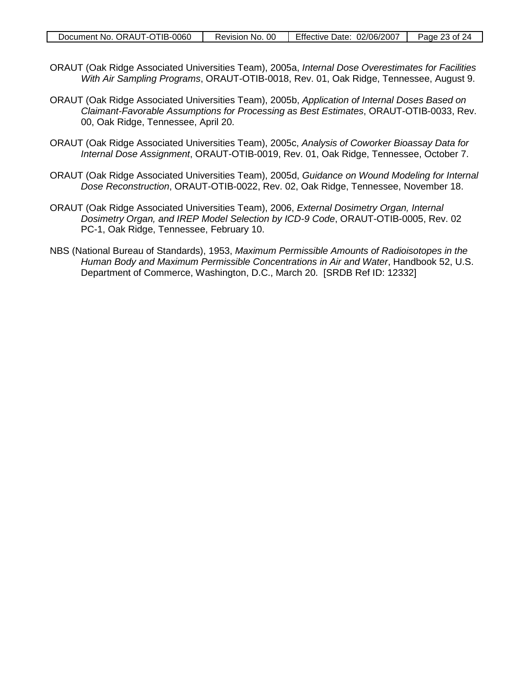- ORAUT (Oak Ridge Associated Universities Team), 2005a, *Internal Dose Overestimates for Facilities With Air Sampling Programs*, ORAUT-OTIB-0018, Rev. 01, Oak Ridge, Tennessee, August 9.
- ORAUT (Oak Ridge Associated Universities Team), 2005b, *Application of Internal Doses Based on Claimant-Favorable Assumptions for Processing as Best Estimates*, ORAUT-OTIB-0033, Rev. 00, Oak Ridge, Tennessee, April 20.
- ORAUT (Oak Ridge Associated Universities Team), 2005c, *Analysis of Coworker Bioassay Data for Internal Dose Assignment*, ORAUT-OTIB-0019, Rev. 01, Oak Ridge, Tennessee, October 7.
- ORAUT (Oak Ridge Associated Universities Team), 2005d, *Guidance on Wound Modeling for Internal Dose Reconstruction*, ORAUT-OTIB-0022, Rev. 02, Oak Ridge, Tennessee, November 18.
- ORAUT (Oak Ridge Associated Universities Team), 2006, *External Dosimetry Organ, Internal Dosimetry Organ, and IREP Model Selection by ICD-9 Code*, ORAUT-OTIB-0005, Rev. 02 PC-1, Oak Ridge, Tennessee, February 10.
- NBS (National Bureau of Standards), 1953, *Maximum Permissible Amounts of Radioisotopes in the Human Body and Maximum Permissible Concentrations in Air and Water*, Handbook 52, U.S. Department of Commerce, Washington, D.C., March 20. [SRDB Ref ID: 12332]